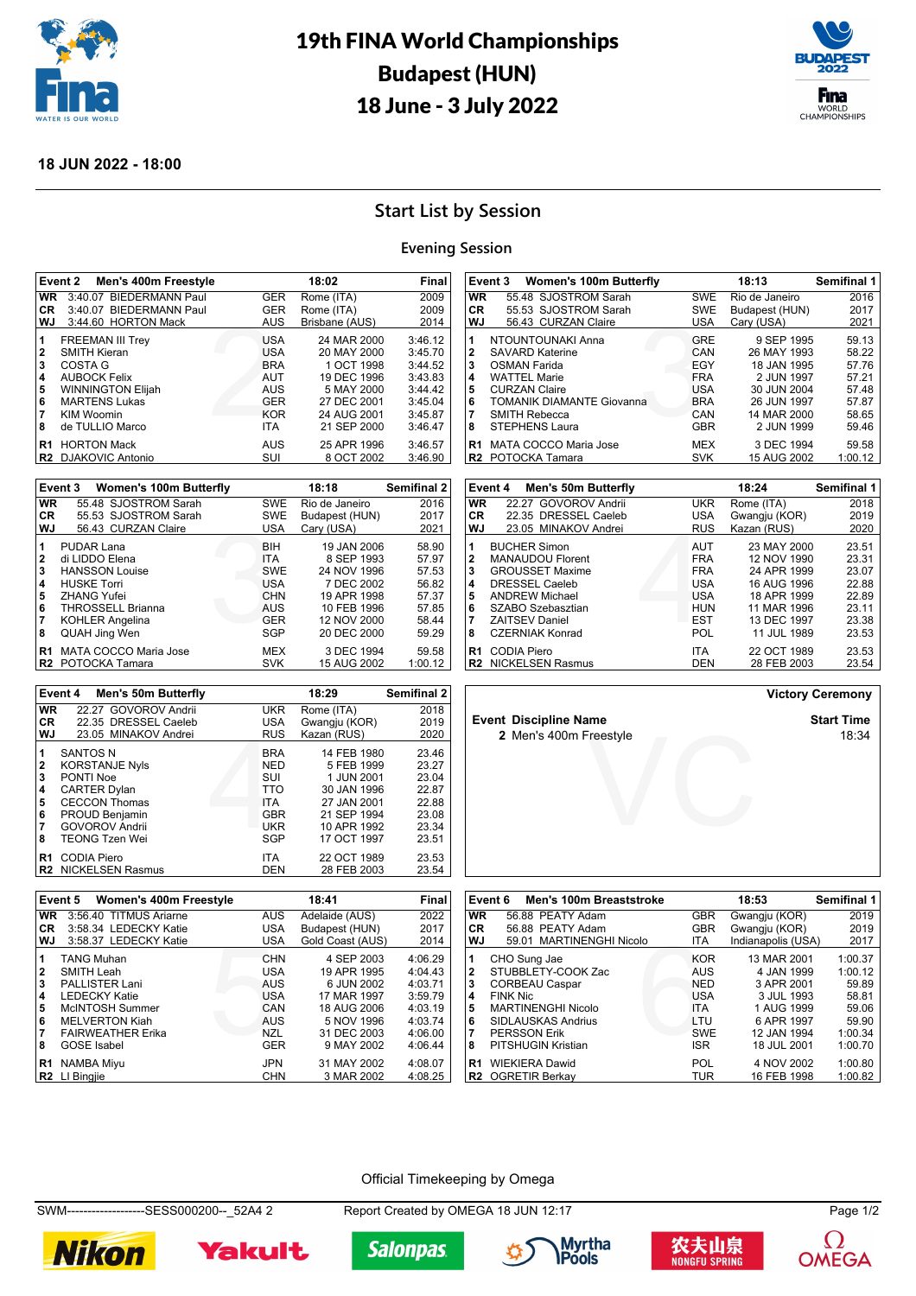

# 19th FINA World Championships Budapest (HUN) 18 June - 3 July 2022



## **18 JUN 2022 - 18:00**

# **Start List by Session**

#### **Evening Session**

|                                      | Event 2<br>Men's 400m Freestyle                                                                                                                                              |                                                                                                       | 18:02                                                                                                              | Final                                                                                |
|--------------------------------------|------------------------------------------------------------------------------------------------------------------------------------------------------------------------------|-------------------------------------------------------------------------------------------------------|--------------------------------------------------------------------------------------------------------------------|--------------------------------------------------------------------------------------|
| <b>WR</b>                            | 3:40.07 BIEDERMANN Paul                                                                                                                                                      | <b>GER</b>                                                                                            | Rome (ITA)                                                                                                         | 2009                                                                                 |
| CR                                   | 3:40.07 BIEDERMANN Paul                                                                                                                                                      | <b>GER</b>                                                                                            | Rome (ITA)                                                                                                         | 2009                                                                                 |
| WJ                                   | 3:44.60 HORTON Mack                                                                                                                                                          | <b>AUS</b>                                                                                            | Brisbane (AUS)                                                                                                     | 2014                                                                                 |
| 1<br>2<br>3<br>4<br>5<br>6<br>7<br>8 | <b>FREEMAN III Trey</b><br><b>SMITH Kieran</b><br>COSTA G<br><b>AUBOCK Felix</b><br><b>WINNINGTON Elijah</b><br><b>MARTENS Lukas</b><br><b>KIM Woomin</b><br>de TULLIO Marco | <b>USA</b><br><b>USA</b><br><b>BRA</b><br><b>AUT</b><br>AUS<br><b>GER</b><br><b>KOR</b><br><b>ITA</b> | 24 MAR 2000<br>20 MAY 2000<br>1 OCT 1998<br>19 DEC 1996<br>5 MAY 2000<br>27 DEC 2001<br>24 AUG 2001<br>21 SEP 2000 | 3:46.12<br>3:45.70<br>3:44.52<br>3:43.83<br>3:44.42<br>3:45.04<br>3:45.87<br>3:46.47 |
| R1<br>R2.                            | <b>HORTON Mack</b><br><b>DJAKOVIC Antonio</b>                                                                                                                                | AUS<br>SUI                                                                                            | 25 APR 1996<br>8 OCT 2002                                                                                          | 3:46.57<br>3:46.90                                                                   |
|                                      |                                                                                                                                                                              |                                                                                                       |                                                                                                                    |                                                                                      |

|                | Event 3<br><b>Women's 100m Butterfly</b> |            | 18:18          | Semifinal 2 |
|----------------|------------------------------------------|------------|----------------|-------------|
| <b>WR</b>      | 55.48 SJOSTROM Sarah                     | <b>SWE</b> | Rio de Janeiro | 2016        |
| CR.            | 55.53 SJOSTROM Sarah                     | <b>SWE</b> | Budapest (HUN) | 2017        |
| WJ             | 56.43 CURZAN Claire                      | <b>USA</b> | Cary (USA)     | 2021        |
| 1              | <b>PUDAR Lana</b>                        | <b>BIH</b> | 19 JAN 2006    | 58.90       |
| 2              | di LIDDO Elena                           | <b>ITA</b> | 8 SEP 1993     | 57.97       |
| 3              | <b>HANSSON Louise</b>                    | <b>SWE</b> | 24 NOV 1996    | 57.53       |
| 4              | <b>HUSKE Torri</b>                       | <b>USA</b> | 7 DEC 2002     | 56.82       |
| 5              | <b>ZHANG Yufei</b>                       | <b>CHN</b> | 19 APR 1998    | 57.37       |
| 6              | <b>THROSSELL Brianna</b>                 | <b>AUS</b> | 10 FEB 1996    | 57.85       |
| 7              | <b>KOHLER Angelina</b>                   | <b>GER</b> | 12 NOV 2000    | 58.44       |
| 8              | QUAH Jing Wen                            | SGP        | 20 DEC 2000    | 59.29       |
| R <sub>1</sub> | <b>MATA COCCO Maria Jose</b>             | MEX        | 3 DEC 1994     | 59.58       |
| IR2            | POTOCKA Tamara                           | <b>SVK</b> | 15 AUG 2002    | 1:00.12     |

|                         | Event 4<br>18:29<br><b>Men's 50m Butterfly</b> |            |               | <b>Semifinal 2</b> |
|-------------------------|------------------------------------------------|------------|---------------|--------------------|
| <b>WR</b>               | 22.27 GOVOROV Andrii                           | <b>UKR</b> | Rome (ITA)    | 2018               |
| CR.                     | 22.35 DRESSEL Caeleb                           | <b>USA</b> | Gwangju (KOR) | 2019               |
| WJ                      | 23.05 MINAKOV Andrei                           | <b>RUS</b> | Kazan (RUS)   | 2020               |
| 11                      | <b>SANTOS N</b>                                | <b>BRA</b> | 14 FEB 1980   | 23.46              |
| $\mathbf{2}$            | <b>KORSTANJE Nyls</b>                          | <b>NED</b> | 5 FEB 1999    | 23.27              |
| $\overline{\mathbf{3}}$ | PONTI Noe                                      | SUI        | 1 JUN 2001    | 23.04              |
| $\overline{\mathbf{4}}$ | <b>CARTER Dylan</b>                            | <b>TTO</b> | 30 JAN 1996   | 22.87              |
| 5                       | <b>CECCON Thomas</b>                           | <b>ITA</b> | 27 JAN 2001   | 22.88              |
| 6                       | <b>PROUD Benjamin</b>                          | <b>GBR</b> | 21 SEP 1994   | 23.08              |
| 17                      | <b>GOVOROV Andrii</b>                          | UKR        | 10 APR 1992   | 23.34              |
| 8                       | <b>TEONG Tzen Wei</b>                          | SGP        | 17 OCT 1997   | 23.51              |
| R <sub>1</sub>          | CODIA Piero                                    | <b>ITA</b> | 22 OCT 1989   | 23.53              |
|                         | <b>R2</b> NICKELSEN Rasmus                     | DEN        | 28 FEB 2003   | 23.54              |

|                      | Event 3<br><b>Women's 100m Butterfly</b>                                   |                                 | 18:13                                    | <b>Semifinal 1</b>      |
|----------------------|----------------------------------------------------------------------------|---------------------------------|------------------------------------------|-------------------------|
| <b>WR</b>            | 55.48 SJOSTROM Sarah                                                       | SWE                             | Rio de Janeiro                           | 2016                    |
| CR.                  | 55.53 SJOSTROM Sarah                                                       | <b>SWE</b>                      | Budapest (HUN)                           | 2017                    |
| <b>WJ</b>            | 56.43 CURZAN Claire                                                        | USA                             | Cary (USA)                               | 2021                    |
| 1<br>2<br>3          | NTOUNTOUNAKI Anna<br><b>SAVARD Katerine</b><br>OSMAN Farida                | GRE<br>CAN<br>EGY               | 9 SEP 1995<br>26 MAY 1993<br>18 JAN 1995 | 59.13<br>58.22<br>57.76 |
| 4<br>5               | <b>WATTEL Marie</b><br><b>CURZAN Claire</b>                                | <b>FRA</b><br><b>USA</b>        | 2 JUN 1997<br>30 JUN 2004                | 57.21<br>57.48          |
| 6<br>8               | <b>TOMANIK DIAMANTE Giovanna</b><br><b>SMITH Rebecca</b><br>STEPHENS Laura | <b>BRA</b><br>CAN<br><b>GBR</b> | 26 JUN 1997<br>14 MAR 2000<br>2 JUN 1999 | 57.87<br>58.65<br>59.46 |
| R <sub>1</sub><br>R2 | MATA COCCO Maria Jose<br>POTOCKA Tamara                                    | MEX<br><b>SVK</b>               | 3 DEC 1994<br>15 AUG 2002                | 59.58<br>1:00.12        |

|                                            | Event 4<br>Men's 50m Butterfly                                                                                                                                           |                                                                                  | 18:24                                                                                                 | Semifinal 1                                                 |
|--------------------------------------------|--------------------------------------------------------------------------------------------------------------------------------------------------------------------------|----------------------------------------------------------------------------------|-------------------------------------------------------------------------------------------------------|-------------------------------------------------------------|
| <b>WR</b>                                  | 22.27 GOVOROV Andrii                                                                                                                                                     | <b>UKR</b>                                                                       | Rome (ITA)                                                                                            | 2018                                                        |
| <b>CR</b>                                  | 22.35 DRESSEL Caeleb                                                                                                                                                     | <b>USA</b>                                                                       | Gwangju (KOR)                                                                                         | 2019                                                        |
| <b>WJ</b>                                  | 23.05 MINAKOV Andrei                                                                                                                                                     | <b>RUS</b>                                                                       | Kazan (RUS)                                                                                           | 2020                                                        |
| 1<br>$\mathbf{2}$<br>3<br>4<br>5<br>6<br>7 | <b>BUCHER Simon</b><br><b>MANAUDOU Florent</b><br><b>GROUSSET Maxime</b><br><b>DRESSEL Caeleb</b><br><b>ANDREW Michael</b><br>SZABO Szebasztian<br><b>ZAITSEV Daniel</b> | AUT<br><b>FRA</b><br><b>FRA</b><br><b>USA</b><br><b>USA</b><br>HUN<br><b>EST</b> | 23 MAY 2000<br>12 NOV 1990<br>24 APR 1999<br>16 AUG 1996<br>18 APR 1999<br>11 MAR 1996<br>13 DEC 1997 | 23.51<br>23.31<br>23.07<br>22.88<br>22.89<br>23.11<br>23.38 |
| 8                                          | <b>CZERNIAK Konrad</b>                                                                                                                                                   | POL                                                                              | 11 JUL 1989                                                                                           | 23.53                                                       |
| R <sub>1</sub>                             | <b>CODIA Piero</b><br><b>R2</b> NICKELSEN Rasmus                                                                                                                         | <b>ITA</b><br>DEN                                                                | 22 OCT 1989<br>28 FEB 2003                                                                            | 23.53<br>23.54                                              |

**Victory Ceremony**

**Event Discipline Name**<br>**2** Men's 400m Freestyle<br>**18:34** 18:34

| R1             | CODIA Piero                       | ITA.       | 22 OCT 1989      | 23.53   |
|----------------|-----------------------------------|------------|------------------|---------|
| R2             | <b>NICKELSEN Rasmus</b>           | <b>DEN</b> | 28 FEB 2003      | 23.54   |
|                |                                   |            |                  |         |
|                | Women's 400m Freestyle<br>Event 5 |            | 18:41            | Final   |
| <b>WR</b>      | 3:56.40 TITMUS Ariarne            | <b>AUS</b> | Adelaide (AUS)   | 2022    |
| CR.            | 3:58.34 LEDECKY Katie             | <b>USA</b> | Budapest (HUN)   | 2017    |
| WJ             | 3:58.37 LEDECKY Katie             | <b>USA</b> | Gold Coast (AUS) | 2014    |
| 1              | <b>TANG Muhan</b>                 | <b>CHN</b> | 4 SEP 2003       | 4:06.29 |
| 2              | SMITH Leah                        | <b>USA</b> | 19 APR 1995      | 4:04.43 |
| 3              | <b>PALLISTER Lani</b>             | <b>AUS</b> | 6 JUN 2002       | 4:03.71 |
| 4              | <b>LEDECKY Katie</b>              | <b>USA</b> | 17 MAR 1997      | 3:59.79 |
| 5              | McINTOSH Summer                   | CAN        | 18 AUG 2006      | 4:03.19 |
| 6              | <b>MELVERTON Kiah</b>             | <b>AUS</b> | 5 NOV 1996       | 4:03.74 |
| 7              | <b>FAIRWEATHER Erika</b>          | NZL        | 31 DEC 2003      | 4:06.00 |
| 8              | <b>GOSE</b> Isabel                | <b>GER</b> | 9 MAY 2002       | 4:06.44 |
| R <sub>1</sub> | <b>NAMBA Miyu</b>                 | JPN        | 31 MAY 2002      | 4:08.07 |
| R <sub>2</sub> | LI Binaiie                        | CHN        | 3 MAR 2002       | 4:08.25 |

|              | Event 6<br>Men's 100m Breaststroke |            | 18:53              | Semifinal 1 |
|--------------|------------------------------------|------------|--------------------|-------------|
| <b>WR</b>    | 56.88 PEATY Adam                   | <b>GBR</b> | Gwangju (KOR)      | 2019        |
| CR           | 56.88 PEATY Adam                   | <b>GBR</b> | Gwangju (KOR)      | 2019        |
| WJ           | 59.01 MARTINENGHI Nicolo           | <b>ITA</b> | Indianapolis (USA) | 2017        |
| 1            | CHO Sung Jae                       | <b>KOR</b> | 13 MAR 2001        | 1:00.37     |
| $\mathbf{2}$ | STUBBLETY-COOK Zac                 | <b>AUS</b> | 4 JAN 1999         | 1:00.12     |
| 3            | <b>CORBEAU Caspar</b>              | <b>NED</b> | 3 APR 2001         | 59.89       |
| 4            | <b>FINK Nic</b>                    | <b>USA</b> | 3 JUL 1993         | 58.81       |
| 5            | <b>MARTINENGHI Nicolo</b>          | <b>ITA</b> | 1 AUG 1999         | 59.06       |
| 6            | SIDLAUSKAS Andrius                 | LTU        | 6 APR 1997         | 59.90       |
|              | <b>PERSSON Erik</b>                | <b>SWE</b> | 12 JAN 1994        | 1:00.34     |
| 8            | PITSHUGIN Kristian                 | <b>ISR</b> | 18 JUL 2001        | 1:00.70     |
| R1           | <b>WIEKIERA Dawid</b>              | POL        | 4 NOV 2002         | 1:00.80     |
| R2           | <b>OGRETIR Berkav</b>              | TUR        | 16 FEB 1998        | 1:00.82     |

Freestyle<br>
Verwysing of the state of the state of the state of the state of the state of the state of the state of the state of the state of the state of the state of the state of the state of the state of the state of the

Official Timekeeping by Omega

SWM-------------------SESS000200--\_52A4 2 Report Created by OMEGA 18 JUN 12:17 Page 1/2









**2** Men's 400m Freestyle